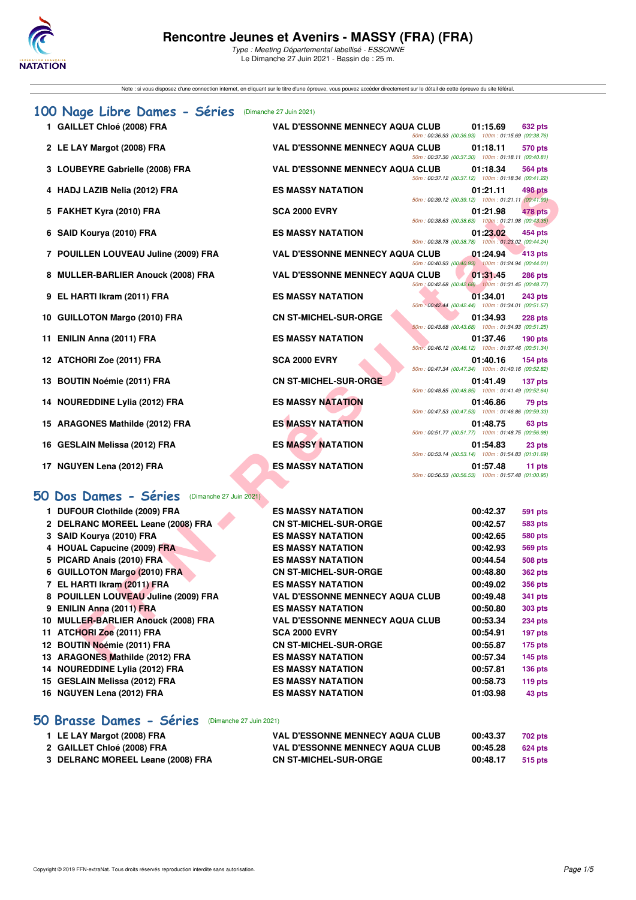

Type : Meeting Départemental labellisé - ESSONNE Le Dimanche 27 Juin 2021 - Bassin de : 25 m.

Note : si vous disposez d'une connection internet, en cliquant sur le titre d'une épreuve, vous pouvez accéder directement sur le détail de cette épreuve du site féféral.

|    | 100 Nage Libre Dames - Séries                    | (Dimanche 27 Juin 2021)                |                                                    |          |                |
|----|--------------------------------------------------|----------------------------------------|----------------------------------------------------|----------|----------------|
|    | 1 GAILLET Chloé (2008) FRA                       | <b>VAL D'ESSONNE MENNECY AQUA CLUB</b> | 50m: 00:36.93 (00:36.93) 100m: 01:15.69 (00:38.76) | 01:15.69 | <b>632 pts</b> |
|    | 2 LE LAY Margot (2008) FRA                       | <b>VAL D'ESSONNE MENNECY AQUA CLUB</b> | 50m: 00:37.30 (00:37.30) 100m: 01:18.11 (00:40.81) | 01:18.11 | 570 pts        |
|    | 3 LOUBEYRE Gabrielle (2008) FRA                  | <b>VAL D'ESSONNE MENNECY AQUA CLUB</b> |                                                    | 01:18.34 | 564 pts        |
|    | 4 HADJ LAZIB Nelia (2012) FRA                    | <b>ES MASSY NATATION</b>               | 50m: 00:37.12 (00:37.12) 100m: 01:18.34 (00:41.22) | 01:21.11 | 498 pts        |
|    | 5 FAKHET Kyra (2010) FRA                         | <b>SCA 2000 EVRY</b>                   | 50m: 00:39.12 (00:39.12) 100m: 01:21.11 (00:41.99) | 01:21.98 | <b>478 pts</b> |
|    | 6 SAID Kourya (2010) FRA                         | <b>ES MASSY NATATION</b>               | 50m: 00:38.63 (00:38.63) 100m: 01:21.98 (00:43.35) | 01:23.02 | 454 pts        |
|    | 7 POUILLEN LOUVEAU Juline (2009) FRA             | <b>VAL D'ESSONNE MENNECY AQUA CLUB</b> | 50m: 00:38.78 (00:38.78) 100m: 01:23.02 (00:44.24) | 01:24.94 | 413 pts        |
|    |                                                  |                                        | 50m: 00:40.93 (00:40.93) 100m: 01:24.94 (00:44.01) |          |                |
|    | 8 MULLER-BARLIER Anouck (2008) FRA               | <b>VAL D'ESSONNE MENNECY AQUA CLUB</b> | 50m: 00:42.68 (00:42.68) 100m: 01:31.45 (00:48.77) | 01:31.45 | <b>286 pts</b> |
|    | 9 EL HARTI Ikram (2011) FRA                      | <b>ES MASSY NATATION</b>               | 50m: 00:42.44 (00:42.44) 100m: 01:34.01 (00:51.57) | 01:34.01 | <b>243 pts</b> |
|    | 10 GUILLOTON Margo (2010) FRA                    | <b>CN ST-MICHEL-SUR-ORGE</b>           |                                                    | 01:34.93 | <b>228 pts</b> |
|    | 11 ENILIN Anna (2011) FRA                        | <b>ES MASSY NATATION</b>               | 50m: 00:43.68 (00:43.68) 100m: 01:34.93 (00:51.25) | 01:37.46 | $190$ pts      |
|    | 12 ATCHORI Zoe (2011) FRA                        | <b>SCA 2000 EVRY</b>                   | 50m: 00:46.12 (00:46.12) 100m: 01:37.46 (00:51.34) | 01:40.16 | $154$ pts      |
|    | 13 BOUTIN Noémie (2011) FRA                      | <b>CN ST-MICHEL-SUR-ORGE</b>           | 50m: 00:47.34 (00:47.34) 100m: 01:40.16 (00:52.82) | 01:41.49 | 137 pts        |
|    | 14 NOUREDDINE Lylia (2012) FRA                   | <b>ES MASSY NATATION</b>               | 50m: 00:48.85 (00:48.85) 100m: 01:41.49 (00:52.64) | 01:46.86 | 79 pts         |
|    |                                                  | <b>ES MASSY NATATION</b>               | 50m: 00:47.53 (00:47.53) 100m: 01:46.86 (00:59.33) | 01:48.75 |                |
|    | 15 ARAGONES Mathilde (2012) FRA                  |                                        | 50m: 00:51.77 (00:51.77) 100m: 01:48.75 (00:56.98) |          | 63 pts         |
|    | 16 GESLAIN Melissa (2012) FRA                    | <b>ES MASSY NATATION</b>               | 50m: 00:53.14 (00:53.14) 100m: 01:54.83 (01:01.69) | 01:54.83 | 23 pts         |
|    | 17 NGUYEN Lena (2012) FRA                        | <b>ES MASSY NATATION</b>               | 50m: 00:56.53 (00:56.53) 100m: 01:57.48 (01:00.95) | 01:57.48 | 11 pts         |
|    | 50 Dos Dames - Séries<br>(Dimanche 27 Juin 2021) |                                        |                                                    |          |                |
|    | 1 DUFOUR Clothilde (2009) FRA                    | <b>ES MASSY NATATION</b>               |                                                    | 00:42.37 | 591 pts        |
|    | 2 DELRANC MOREEL Leane (2008) FRA                | <b>CN ST-MICHEL-SUR-ORGE</b>           |                                                    | 00:42.57 | <b>583 pts</b> |
|    | 3 SAID Kourya (2010) FRA                         | <b>ES MASSY NATATION</b>               |                                                    | 00:42.65 | <b>580 pts</b> |
|    | 4 HOUAL Capucine (2009) FRA                      | <b>ES MASSY NATATION</b>               |                                                    | 00:42.93 | <b>569 pts</b> |
|    | 5 PICARD Anais (2010) FRA                        | <b>ES MASSY NATATION</b>               |                                                    | 00:44.54 | 508 pts        |
|    | 6 GUILLOTON Margo (2010) FRA                     | <b>CN ST-MICHEL-SUR-ORGE</b>           |                                                    | 00:48.80 | <b>362 pts</b> |
|    | 7 EL HARTI Ikram (2011) FRA                      | <b>ES MASSY NATATION</b>               |                                                    | 00:49.02 | <b>356 pts</b> |
|    | 8 POUILLEN LOUVEAU Juline (2009) FRA             | <b>VAL D'ESSONNE MENNECY AQUA CLUB</b> |                                                    | 00:49.48 | <b>341 pts</b> |
|    | 9 ENILIN Anna (2011) FRA                         | <b>ES MASSY NATATION</b>               |                                                    | 00:50.80 | <b>303 pts</b> |
|    | 10 MULLER-BARLIER Anouck (2008) FRA              | <b>VAL D'ESSONNE MENNECY AQUA CLUB</b> |                                                    | 00:53.34 | <b>234 pts</b> |
| 11 | ATCHORI Zoe (2011) FRA                           | <b>SCA 2000 EVRY</b>                   |                                                    | 00:54.91 | 197 pts        |
|    | 12 BOUTIN Noémie (2011) FRA                      | <b>CN ST-MICHEL-SUR-ORGE</b>           |                                                    | 00:55.87 | <b>175 pts</b> |
|    | 13 ARAGONES Mathilde (2012) FRA                  | <b>ES MASSY NATATION</b>               |                                                    | 00:57.34 | $145$ pts      |

# **[50 Dos Dames - Séries](http://www.ffnatation.fr/webffn/resultats.php?idact=nat&go=epr&idcpt=70949&idepr=11)** (Dimanche 27 Juin 2021)

| 1 DUFOUR Clothilde (2009) FRA        | <b>ES MASSY NATATION</b>               | 00:42.37 | <b>591 pts</b> |
|--------------------------------------|----------------------------------------|----------|----------------|
| 2 DELRANC MOREEL Leane (2008) FRA    | <b>CN ST-MICHEL-SUR-ORGE</b>           | 00:42.57 | <b>583 pts</b> |
| 3 SAID Kourya (2010) FRA             | <b>ES MASSY NATATION</b>               | 00:42.65 | <b>580 pts</b> |
| 4 HOUAL Capucine (2009) FRA          | <b>ES MASSY NATATION</b>               | 00:42.93 | <b>569 pts</b> |
| 5 PICARD Anais (2010) FRA            | <b>ES MASSY NATATION</b>               | 00:44.54 | <b>508 pts</b> |
| 6 GUILLOTON Margo (2010) FRA         | <b>CN ST-MICHEL-SUR-ORGE</b>           | 00:48.80 | <b>362 pts</b> |
| 7 EL HARTI Ikram (2011) FRA          | <b>ES MASSY NATATION</b>               | 00:49.02 | <b>356 pts</b> |
| 8 POUILLEN LOUVEAU Juline (2009) FRA | <b>VAL D'ESSONNE MENNECY AQUA CLUB</b> | 00:49.48 | <b>341 pts</b> |
| 9 ENILIN Anna (2011) FRA             | <b>ES MASSY NATATION</b>               | 00:50.80 | <b>303 pts</b> |
| 10 MULLER-BARLIER Anouck (2008) FRA  | <b>VAL D'ESSONNE MENNECY AQUA CLUB</b> | 00:53.34 | <b>234 pts</b> |
| 11 ATCHORI Zoe (2011) FRA            | <b>SCA 2000 EVRY</b>                   | 00:54.91 | 197 pts        |
| 12 BOUTIN Noémie (2011) FRA          | <b>CN ST-MICHEL-SUR-ORGE</b>           | 00:55.87 | <b>175 pts</b> |
| 13 ARAGONES Mathilde (2012) FRA      | <b>ES MASSY NATATION</b>               | 00:57.34 | 145 pts        |
| 14 NOUREDDINE Lylia (2012) FRA       | <b>ES MASSY NATATION</b>               | 00:57.81 | 136 pts        |
| 15 GESLAIN Melissa (2012) FRA        | <b>ES MASSY NATATION</b>               | 00:58.73 | <b>119 pts</b> |
| 16 NGUYEN Lena (2012) FRA            | <b>ES MASSY NATATION</b>               | 01:03.98 | 43 pts         |

## **[50 Brasse Dames - Séries](http://www.ffnatation.fr/webffn/resultats.php?idact=nat&go=epr&idcpt=70949&idepr=21)** (Dimanche 27 Juin 2021)

| 1 LE LAY Margot (2008) FRA        | <b>VAL D'ESSONNE MENNECY AQUA CLUB</b> | 00:43.37 | 702 pts |
|-----------------------------------|----------------------------------------|----------|---------|
| 2 GAILLET Chloé (2008) FRA        | <b>VAL D'ESSONNE MENNECY AQUA CLUB</b> | 00:45.28 | 624 pts |
| 3 DELRANC MOREEL Leane (2008) FRA | <b>CN ST-MICHEL-SUR-ORGE</b>           | 00:48.17 | 515 pts |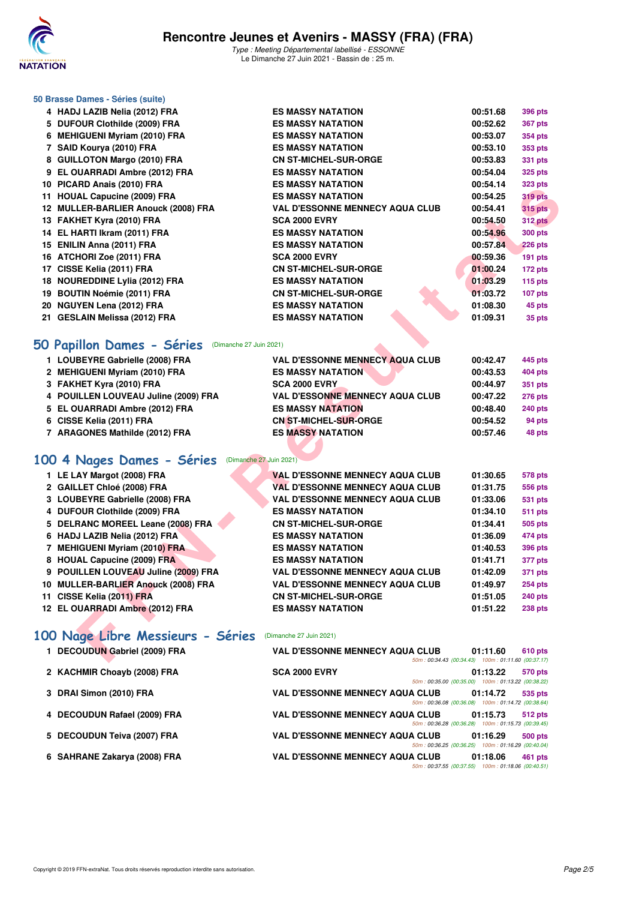

Type : Meeting Départemental labellisé - ESSONNE Le Dimanche 27 Juin 2021 - Bassin de : 25 m.

# **50 Brasse Dames - Séries (suite)**

| 4 HADJ LAZIB Nelia (2012) FRA         | <b>ES MASSY NATATION</b>               |          | <b>396 pts</b> |
|---------------------------------------|----------------------------------------|----------|----------------|
| 5 DUFOUR Clothilde (2009) FRA         | <b>ES MASSY NATATION</b>               | 00:52.62 | <b>367 pts</b> |
| <b>MEHIGUENI Myriam (2010) FRA</b>    | <b>ES MASSY NATATION</b>               | 00:53.07 | 354 pts        |
| 7 SAID Kourya (2010) FRA              | <b>ES MASSY NATATION</b>               | 00:53.10 | 353 pts        |
| 8 GUILLOTON Margo (2010) FRA          | <b>CN ST-MICHEL-SUR-ORGE</b>           | 00:53.83 | <b>331 pts</b> |
| 9 EL OUARRADI Ambre (2012) FRA        | <b>ES MASSY NATATION</b>               | 00:54.04 | <b>325 pts</b> |
| 10 PICARD Anais (2010) FRA            | <b>ES MASSY NATATION</b>               | 00:54.14 | <b>323 pts</b> |
| 11 HOUAL Capucine (2009) FRA          | <b>ES MASSY NATATION</b>               | 00:54.25 | <b>319 pts</b> |
| 12 MULLER-BARLIER Anouck (2008) FRA   | <b>VAL D'ESSONNE MENNECY AQUA CLUB</b> | 00:54.41 | <b>315 pts</b> |
| 13 FAKHET Kyra (2010) FRA             | <b>SCA 2000 EVRY</b>                   | 00:54.50 | <b>312 pts</b> |
| 14 EL HARTI Ikram (2011) FRA          | <b>ES MASSY NATATION</b>               | 00:54.96 | <b>300 pts</b> |
| 15 ENILIN Anna (2011) FRA             | <b>ES MASSY NATATION</b>               | 00:57.84 | <b>226 pts</b> |
| 16 ATCHORI Zoe (2011) FRA             | <b>SCA 2000 EVRY</b>                   | 00:59.36 | 191 pts        |
| 17 CISSE Kelia (2011) FRA             | <b>CN ST-MICHEL-SUR-ORGE</b>           | 01:00.24 | 172 pts        |
| 18 NOUREDDINE Lylia (2012) FRA        | <b>ES MASSY NATATION</b>               | 01:03.29 | $115$ pts      |
| <b>BOUTIN Noémie (2011) FRA</b><br>19 | <b>CN ST-MICHEL-SUR-ORGE</b>           | 01:03.72 | 107 pts        |
| <b>NGUYEN Lena (2012) FRA</b><br>20   | <b>ES MASSY NATATION</b>               | 01:08.30 | 45 pts         |
| 21 GESLAIN Melissa (2012) FRA         | <b>ES MASSY NATATION</b>               | 01:09.31 | 35 pts         |
|                                       |                                        |          | 00:51.68       |

## **[50 Papillon Dames - Séries](http://www.ffnatation.fr/webffn/resultats.php?idact=nat&go=epr&idcpt=70949&idepr=31)** (Dimanche 27 Juin 2021)

| 1 LOUBEYRE Gabrielle (2008) FRA      | <b>VAL D'ESSONNE MENNECY AQUA CLUB</b> | 00:42.47 | 445 pts        |
|--------------------------------------|----------------------------------------|----------|----------------|
| 2 MEHIGUENI Myriam (2010) FRA        | <b>ES MASSY NATATION</b>               | 00:43.53 | 404 pts        |
| 3 FAKHET Kyra (2010) FRA             | <b>SCA 2000 EVRY</b>                   | 00:44.97 | 351 pts        |
| 4 POUILLEN LOUVEAU Juline (2009) FRA | <b>VAL D'ESSONNE MENNECY AQUA CLUB</b> | 00:47.22 | <b>276 pts</b> |
| 5 EL OUARRADI Ambre (2012) FRA       | <b>ES MASSY NATATION</b>               | 00:48.40 | <b>240 pts</b> |
| 6 CISSE Kelia (2011) FRA             | <b>CN ST-MICHEL-SUR-ORGE</b>           | 00:54.52 | 94 pts         |
| 7 ARAGONES Mathilde (2012) FRA       | <b>ES MASSY NATATION</b>               | 00:57.46 | 48 pts         |

# **[100 4 Nages Dames - Séries](http://www.ffnatation.fr/webffn/resultats.php?idact=nat&go=epr&idcpt=70949&idepr=40)** (Dimanche 27 Juin 2021)

| IU FIUANU AIIAIS (4010) FNA          |                                                          | EJ MAJJI NATATIVN                                  | UU.J4.I4 | ວຂວ µເຣ        |
|--------------------------------------|----------------------------------------------------------|----------------------------------------------------|----------|----------------|
| 11 HOUAL Capucine (2009) FRA         |                                                          | <b>ES MASSY NATATION</b>                           | 00:54.25 | <b>319 pts</b> |
| 12 MULLER-BARLIER Anouck (2008) FRA  |                                                          | <b>VAL D'ESSONNE MENNECY AQUA CLUB</b>             | 00:54.41 | <b>315 pts</b> |
| 13 FAKHET Kyra (2010) FRA            |                                                          | <b>SCA 2000 EVRY</b>                               | 00:54.50 | <b>312 pts</b> |
| 14 EL HARTI Ikram (2011) FRA         |                                                          | <b>ES MASSY NATATION</b>                           | 00:54.96 | <b>300 pts</b> |
| 15 ENILIN Anna (2011) FRA            |                                                          | <b>ES MASSY NATATION</b>                           | 00:57.84 | 226 pts        |
| 16 ATCHORI Zoe (2011) FRA            |                                                          | <b>SCA 2000 EVRY</b>                               | 00:59.36 | <b>191 pts</b> |
| 17 CISSE Kelia (2011) FRA            |                                                          | <b>CN ST-MICHEL-SUR-ORGE</b>                       | 01:00.24 | 172 pts        |
| 18 NOUREDDINE Lylia (2012) FRA       |                                                          | <b>ES MASSY NATATION</b>                           | 01:03.29 | $115$ pts      |
| 19 BOUTIN Noémie (2011) FRA          |                                                          | <b>CN ST-MICHEL-SUR-ORGE</b>                       | 01:03.72 | 107 pts        |
| 20 NGUYEN Lena (2012) FRA            |                                                          | <b>ES MASSY NATATION</b>                           | 01:08.30 | 45 pts         |
| 21 GESLAIN Melissa (2012) FRA        |                                                          | <b>ES MASSY NATATION</b>                           | 01:09.31 | 35 pts         |
|                                      | 50 Papillon Dames - Séries (Dimanche 27 Juin 2021)       |                                                    |          |                |
| 1 LOUBEYRE Gabrielle (2008) FRA      |                                                          | <b>VAL D'ESSONNE MENNECY AQUA CLUB</b>             | 00:42.47 | 445 pts        |
| 2 MEHIGUENI Myriam (2010) FRA        |                                                          | <b>ES MASSY NATATION</b>                           | 00:43.53 | <b>404 pts</b> |
| 3 FAKHET Kyra (2010) FRA             |                                                          | <b>SCA 2000 EVRY</b>                               | 00:44.97 | 351 pts        |
| 4 POUILLEN LOUVEAU Juline (2009) FRA |                                                          | <b>VAL D'ESSONNE MENNECY AQUA CLUB</b>             | 00:47.22 | 276 pts        |
| 5 EL OUARRADI Ambre (2012) FRA       |                                                          | <b>ES MASSY NATATION</b>                           | 00:48.40 | <b>240 pts</b> |
| 6 CISSE Kelia (2011) FRA             |                                                          | <b>CN ST-MICHEL-SUR-ORGE</b>                       | 00:54.52 | 94 pts         |
| 7 ARAGONES Mathilde (2012) FRA       |                                                          | <b>ES MASSY NATATION</b>                           | 00:57.46 | 48 pts         |
|                                      |                                                          |                                                    |          |                |
| 00 4 Nages Dames - Séries            | (Dimanche 27 Juin 2021)                                  |                                                    |          |                |
| 1 LE LAY Margot (2008) FRA           |                                                          | <b>VAL D'ESSONNE MENNECY AQUA CLUB</b>             | 01:30.65 | <b>578 pts</b> |
| 2 GAILLET Chloé (2008) FRA           |                                                          | <b>VAL D'ESSONNE MENNECY AQUA CLUB</b>             | 01:31.75 | <b>556 pts</b> |
| 3 LOUBEYRE Gabrielle (2008) FRA      |                                                          | <b>VAL D'ESSONNE MENNECY AQUA CLUB</b>             | 01:33.06 | 531 pts        |
| 4 DUFOUR Clothilde (2009) FRA        |                                                          | <b>ES MASSY NATATION</b>                           | 01:34.10 | <b>511 pts</b> |
| 5 DELRANC MOREEL Leane (2008) FRA    |                                                          | <b>CN ST-MICHEL-SUR-ORGE</b>                       | 01:34.41 | 505 pts        |
| 6 HADJ LAZIB Nelia (2012) FRA        |                                                          | <b>ES MASSY NATATION</b>                           | 01:36.09 | 474 pts        |
| 7 MEHIGUENI Myriam (2010) FRA        |                                                          | <b>ES MASSY NATATION</b>                           | 01:40.53 | 396 pts        |
| 8 HOUAL Capucine (2009) FRA          |                                                          | <b>ES MASSY NATATION</b>                           | 01:41.71 | 377 pts        |
| 9 POUILLEN LOUVEAU Juline (2009) FRA |                                                          | <b>VAL D'ESSONNE MENNECY AQUA CLUB</b>             | 01:42.09 | <b>371 pts</b> |
| 10 MULLER-BARLIER Anouck (2008) FRA  |                                                          | <b>VAL D'ESSONNE MENNECY AQUA CLUB</b>             | 01:49.97 | <b>254 pts</b> |
| 11 CISSE Kelia (2011) FRA            |                                                          | <b>CN ST-MICHEL-SUR-ORGE</b>                       | 01:51.05 | <b>240 pts</b> |
| 12 EL OUARRADI Ambre (2012) FRA      |                                                          | <b>ES MASSY NATATION</b>                           | 01:51.22 | 238 pts        |
|                                      | 00 Nage Libre Messieurs - Séries (Dimanche 27 Juin 2021) |                                                    |          |                |
| 1 DECOUDUN Gabriel (2009) FRA        |                                                          | <b>VAL D'ESSONNE MENNECY AQUA CLUB</b>             | 01:11.60 | 610 pts        |
|                                      |                                                          | 50m: 00:34.43 (00:34.43) 100m: 01:11.60 (00:37.17) |          |                |

# **[100 Nage Libre Messieurs - Séries](http://www.ffnatation.fr/webffn/resultats.php?idact=nat&go=epr&idcpt=70949&idepr=52)** (Dimanche 27 Juin 2021)

| 1 DECOUDUN Gabriel (2009) FRA | <b>VAL D'ESSONNE MENNECY AQUA CLUB</b><br>01:11.60<br><b>610 pts</b>                                                                                    |
|-------------------------------|---------------------------------------------------------------------------------------------------------------------------------------------------------|
| 2 KACHMIR Choayb (2008) FRA   | 50m: 00:34.43 (00:34.43) 100m: 01:11.60 (00:37.17)<br><b>SCA 2000 EVRY</b><br>01:13.22<br>570 pts<br>50m: 00:35.00 (00:35.00) 100m: 01:13.22 (00:38.22) |
| 3 DRAI Simon (2010) FRA       | <b>VAL D'ESSONNE MENNECY AQUA CLUB</b><br>01:14.72<br>535 pts<br>50m: 00:36.08 (00:36.08) 100m: 01:14.72 (00:38.64)                                     |
| 4 DECOUDUN Rafael (2009) FRA  | <b>VAL D'ESSONNE MENNECY AQUA CLUB</b><br>01:15.73<br><b>512 pts</b><br>50m: 00:36.28 (00:36.28) 100m: 01:15.73 (00:39.45)                              |
| 5 DECOUDUN Teiva (2007) FRA   | <b>VAL D'ESSONNE MENNECY AQUA CLUB</b><br>01:16.29<br><b>500 pts</b><br>50m: 00:36.25 (00:36.25) 100m: 01:16.29 (00:40.04)                              |
| 6 SAHRANE Zakarya (2008) FRA  | <b>VAL D'ESSONNE MENNECY AQUA CLUB</b><br>01:18.06<br>461 pts<br>50m: 00:37.55 (00:37.55) 100m: 01:18.06 (00:40.51)                                     |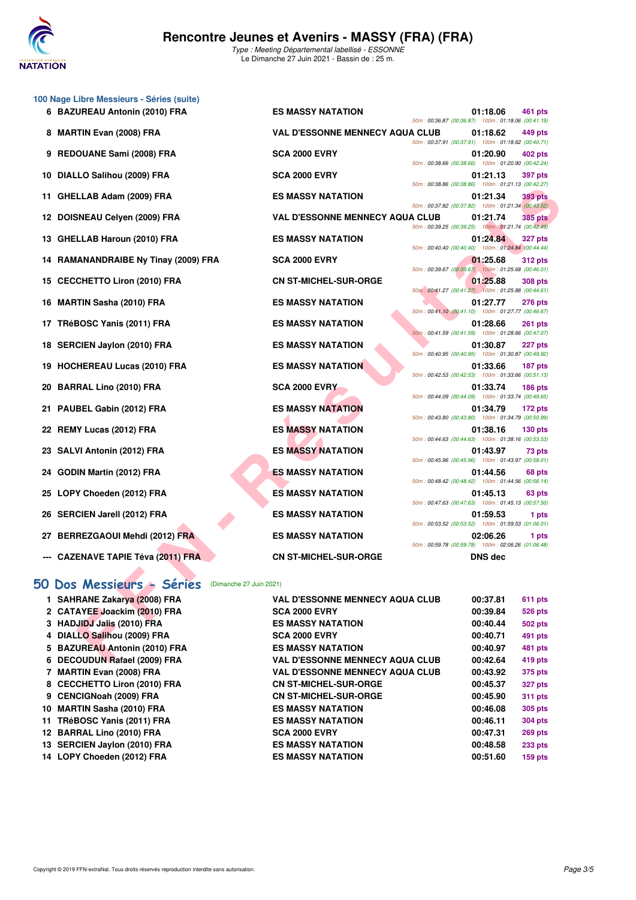

**100 Nage Libre Messieurs - Séries (suite)**

Type : Meeting Départemental labellisé - ESSONNE Le Dimanche 27 Juin 2021 - Bassin de : 25 m.

**6 BAZUREAU Antonin (2010) FRA ES MASSY NATATION 01:18.06 461 pts**

**8 MARTIN Evan (2008) FRA VAL D'ESSONNE MENNECY AQUA CLUB 01:18.62 449 pts**

|     | 9 REDOUANE Sami (2008) FRA                           | <b>SCA 2000 EVRY</b>                   | 50m: 00:38.66 (00:38.66) 100m: 01:20.90 (00:42.24) | 01:20.90       | <b>402 pts</b> |
|-----|------------------------------------------------------|----------------------------------------|----------------------------------------------------|----------------|----------------|
| 10  | DIALLO Salihou (2009) FRA                            | <b>SCA 2000 EVRY</b>                   |                                                    | 01:21.13       | <b>397 pts</b> |
| 11. | GHELLAB Adam (2009) FRA                              | <b>ES MASSY NATATION</b>               | 50m: 00:38.86 (00:38.86) 100m: 01:21.13 (00:42.27) | 01:21.34       | <b>393 pts</b> |
|     |                                                      |                                        | 50m: 00:37.82 (00:37.82) 100m: 01:21.34 (00:43.52) |                |                |
| 12  | DOISNEAU Celyen (2009) FRA                           | <b>VAL D'ESSONNE MENNECY AQUA CLUB</b> | 50m: 00:39.25 (00:39.25) 100m: 01:21.74 (00:42.49) | 01:21.74       | <b>385 pts</b> |
|     | 13 GHELLAB Haroun (2010) FRA                         | <b>ES MASSY NATATION</b>               | 50m: 00:40.40 (00:40.40) 100m: 01:24.84 (00:44.44) | 01:24.84       | <b>327 pts</b> |
| 14  | <b>RAMANANDRAIBE Ny Tinay (2009) FRA</b>             | <b>SCA 2000 EVRY</b>                   |                                                    | 01:25.68       | <b>312 pts</b> |
| 15  | <b>CECCHETTO Liron (2010) FRA</b>                    | <b>CN ST-MICHEL-SUR-ORGE</b>           | 50m: 00:39.67 (00:39.67) 100m: 01:25.68 (00:46.01) | 01:25.88       | <b>308 pts</b> |
|     |                                                      |                                        | 50m: 00:41.27 (00:41.27) 100m: 01:25.88 (00:44.61) |                |                |
| 16  | <b>MARTIN Sasha (2010) FRA</b>                       | <b>ES MASSY NATATION</b>               | 50m: 00:41.10 (00:41.10) 100m: 01:27.77 (00:46.67) | 01:27.77       | <b>276 pts</b> |
| 17  | TRéBOSC Yanis (2011) FRA                             | <b>ES MASSY NATATION</b>               |                                                    | 01:28.66       | <b>261 pts</b> |
|     |                                                      |                                        | 50m: 00:41.59 (00:41.59) 100m: 01:28.66 (00:47.07) |                |                |
| 18  | <b>SERCIEN Jaylon (2010) FRA</b>                     | <b>ES MASSY NATATION</b>               | 50m: 00:40.95 (00:40.95) 100m: 01:30.87 (00:49.92) | 01:30.87       | 227 pts        |
| 19  | <b>HOCHEREAU Lucas (2010) FRA</b>                    | <b>ES MASSY NATATION</b>               |                                                    | 01:33.66       | 187 pts        |
|     |                                                      |                                        | 50m: 00:42.53 (00:42.53) 100m: 01:33.66 (00:51.13) |                |                |
| 20  | <b>BARRAL Lino (2010) FRA</b>                        | <b>SCA 2000 EVRY</b>                   | 50m: 00:44.09 (00:44.09) 100m: 01:33.74 (00:49.65) | 01:33.74       | <b>186 pts</b> |
| 21  | PAUBEL Gabin (2012) FRA                              | <b>ES MASSY NATATION</b>               |                                                    | 01:34.79       | 172 pts        |
| 22  | <b>REMY Lucas (2012) FRA</b>                         | <b>ES MASSY NATATION</b>               | 50m: 00:43.80 (00:43.80) 100m: 01:34.79 (00:50.99) | 01:38.16       | <b>130 pts</b> |
|     |                                                      |                                        | 50m: 00:44.63 (00:44.63) 100m: 01:38.16 (00:53.53) |                |                |
| 23  | SALVI Antonin (2012) FRA                             | <b>ES MASSY NATATION</b>               | 50m: 00:45.96 (00:45.96) 100m: 01:43.97 (00:58.01) | 01:43.97       | 73 pts         |
|     | 24 GODIN Martin (2012) FRA                           | <b>ES MASSY NATATION</b>               |                                                    | 01:44.56       | 68 pts         |
|     |                                                      |                                        | 50m: 00:48.42 (00:48.42) 100m: 01:44.56 (00:56.14) |                |                |
| 25  | LOPY Choeden (2012) FRA                              | <b>ES MASSY NATATION</b>               | 50m: 00:47.63 (00:47.63) 100m: 01:45.13 (00:57.50) | 01:45.13       | 63 pts         |
|     | 26 SERCIEN Jarell (2012) FRA                         | <b>ES MASSY NATATION</b>               |                                                    | 01:59.53       | 1 pts          |
|     | 27 BERREZGAOUI Mehdi (2012) FRA                      | <b>ES MASSY NATATION</b>               | 50m: 00:53.52 (00:53.52) 100m: 01:59.53 (01:06.01) | 02:06.26       | 1 pts          |
|     |                                                      |                                        | 50m: 00:59.78 (00:59.78) 100m: 02:06.26 (01:06.48) |                |                |
|     | <b>CAZENAVE TAPIE Téva (2011) FRA</b>                | <b>CN ST-MICHEL-SUR-ORGE</b>           |                                                    | <b>DNS</b> dec |                |
|     |                                                      |                                        |                                                    |                |                |
|     | 50 Dos Messieurs - Séries<br>(Dimanche 27 Juin 2021) |                                        |                                                    |                |                |
|     | 1 SAHRANE Zakarya (2008) FRA                         | <b>VAL D'ESSONNE MENNECY AQUA CLUB</b> |                                                    | 00:37.81       | 611 pts        |
|     | 2 CATAYEE Joackim (2010) FRA                         | <b>SCA 2000 EVRY</b>                   |                                                    | 00:39.84       | <b>526 pts</b> |
|     | 3 HADJIDJ Jalis (2010) FRA                           | <b>ES MASSY NATATION</b>               |                                                    | 00:40.44       | 502 pts        |
|     | 4 DIALLO Salihou (2009) FRA                          | <b>SCA 2000 EVRY</b>                   |                                                    | 00:40.71       | 491 pts        |
|     | 5 BAZUREAU Antonin (2010) FRA                        | <b>ES MASSY NATATION</b>               |                                                    | 00:40.97       | 481 pts        |
| 6   | <b>DECOUDUN Rafael (2009) FRA</b>                    | <b>VAL D'ESSONNE MENNECY AQUA CLUB</b> |                                                    | 00:42.64       | 419 pts        |

|                                        |  | 50m: 00:38.86 (00:38.86) 100m: 01:21.13 (00:42.27)                     |                |
|----------------------------------------|--|------------------------------------------------------------------------|----------------|
| <b>IATATION</b>                        |  | 01:21.34<br>50m: 00:37.82 (00:37.82) 100m: 01:21.34 (00:43.52)         | <b>393 pts</b> |
|                                        |  |                                                                        |                |
| NNE MENNECY AQUA CLUB 01:21.74 385 pts |  |                                                                        |                |
|                                        |  | 50m: 00:39.25 (00:39.25) 100m: 01:21.74 (00:42.49)                     |                |
| <b>IATATION</b>                        |  | 01:24.84 327 pts<br>50m: 00:40.40 (00:40.40) 100m: 01:24.84 (00:44.44) |                |
| /RY                                    |  | 01:25.68 312 pts                                                       |                |
|                                        |  | 50m: 00:39.67 (00:39.67) 100m: 01:25.68 (00:46.01)                     |                |
| <b>EL-SUR-ORGE</b>                     |  | 01:25.88 308 pts                                                       |                |
|                                        |  | 50m: 00:41.27 (00:41.27) 100m: 01:25.88 (00:44.61)                     |                |
| <b>IATATION</b>                        |  | 01:27.77 276 pts                                                       |                |
|                                        |  | 50m: 00:41.10 (00:41.10) 100m: 01:27.77 (00:46.67)                     |                |
| IATATION                               |  | 01:28.66 261 pts                                                       |                |
|                                        |  | 50m: 00:41.59 (00:41.59) 100m: 01:28.66 (00:47.07)                     |                |
| IATATION                               |  | 01:30.87 227 pts                                                       |                |
|                                        |  | 50m: 00:40.95 (00:40.95) 100m: 01:30.87 (00:49.92)                     |                |
| <b>NOITATION</b>                       |  | 01:33.66 187 pts                                                       |                |
|                                        |  | 50m: 00:42.53 (00:42.53) 100m: 01:33.66 (00:51.13)                     |                |
| /RY                                    |  | 01:33.74                                                               | <b>186 pts</b> |
|                                        |  | 50m: 00:44.09 (00:44.09) 100m: 01:33.74 (00:49.65)                     |                |
| <b>ATATION</b>                         |  | 01:34.79                                                               | 172 pts        |
|                                        |  | 50m: 00:43.80 (00:43.80) 100m: 01:34.79 (00:50.99)                     |                |
| <b>IATATION</b>                        |  | 01:38.16 130 pts                                                       |                |
|                                        |  | 50m: 00:44.63 (00:44.63) 100m: 01:38.16 (00:53.53)                     |                |
| <b>JATATION</b>                        |  | 01:43.97 73 pts                                                        |                |
|                                        |  | 50m: 00:45.96 (00:45.96) 100m: 01:43.97 (00:58.01)                     |                |
| <b>IATATION</b>                        |  | 01:44.56 68 pts                                                        |                |
|                                        |  | 50m: 00:48.42 (00:48.42) 100m: 01:44.56 (00:56.14)                     |                |
| <b>IATATION</b>                        |  | $01:45.13$ 63 pts                                                      |                |
|                                        |  | 50m: 00:47.63 (00:47.63) 100m: 01:45.13 (00:57.50)                     |                |
| <b>IATATION</b>                        |  | $01:59.53$ 1 pts                                                       |                |
|                                        |  | 50m: 00:53.52 (00:53.52) 100m: 01:59.53 (01:06.01)                     |                |

50m : 00:36.87 (00:36.87) 100m : 01:18.06 (00:41.19)

50m : 00:37.91 (00:37.91) 100m : 01:18.62 (00:40.71)

| 1 SAHRANE Zakarya (2008) FRA  | <b>VAL D'ESSONNE MENNECY AQUA CLUB</b> | 00:37.81 | <b>611 pts</b> |
|-------------------------------|----------------------------------------|----------|----------------|
| 2 CATAYEE Joackim (2010) FRA  | <b>SCA 2000 EVRY</b>                   | 00:39.84 | <b>526 pts</b> |
| 3 HADJIDJ Jalis (2010) FRA    | <b>ES MASSY NATATION</b>               | 00:40.44 | <b>502 pts</b> |
| 4 DIALLO Salihou (2009) FRA   | <b>SCA 2000 EVRY</b>                   | 00:40.71 | 491 pts        |
| 5 BAZUREAU Antonin (2010) FRA | <b>ES MASSY NATATION</b>               | 00:40.97 | 481 pts        |
| 6 DECOUDUN Rafael (2009) FRA  | <b>VAL D'ESSONNE MENNECY AQUA CLUB</b> | 00:42.64 | 419 pts        |
| 7 MARTIN Evan (2008) FRA      | <b>VAL D'ESSONNE MENNECY AQUA CLUB</b> | 00:43.92 | 375 pts        |
| 8 CECCHETTO Liron (2010) FRA  | <b>CN ST-MICHEL-SUR-ORGE</b>           | 00:45.37 | <b>327 pts</b> |
| 9 CENCIGNoah (2009) FRA       | <b>CN ST-MICHEL-SUR-ORGE</b>           | 00:45.90 | 311 pts        |
| 10 MARTIN Sasha (2010) FRA    | <b>ES MASSY NATATION</b>               | 00:46.08 | 305 pts        |
| 11 TRéBOSC Yanis (2011) FRA   | <b>ES MASSY NATATION</b>               | 00:46.11 | <b>304 pts</b> |
| 12 BARRAL Lino (2010) FRA     | <b>SCA 2000 EVRY</b>                   | 00:47.31 | 269 pts        |
| 13 SERCIEN Jaylon (2010) FRA  | <b>ES MASSY NATATION</b>               | 00:48.58 | 233 pts        |
| 14 LOPY Choeden (2012) FRA    | <b>ES MASSY NATATION</b>               | 00:51.60 | <b>159 pts</b> |
|                               |                                        |          |                |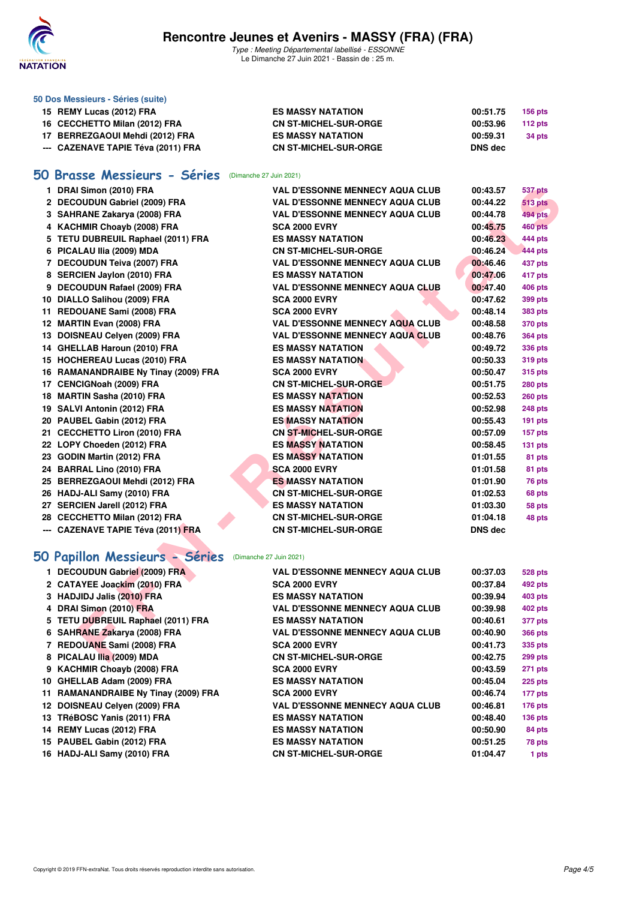

## **Rencontre Jeunes et Avenirs - MASSY (FRA) (FRA)**

Type : Meeting Départemental labellisé - ESSONNE Le Dimanche 27 Juin 2021 - Bassin de : 25 m.

| 50 Dos Messieurs - Séries (suite)    |                                        |                |                |
|--------------------------------------|----------------------------------------|----------------|----------------|
| 15 REMY Lucas (2012) FRA             | <b>ES MASSY NATATION</b>               | 00:51.75       | <b>156 pts</b> |
| 16 CECCHETTO Milan (2012) FRA        | <b>CN ST-MICHEL-SUR-ORGE</b>           | 00:53.96       | 112 pts        |
| 17 BERREZGAOUI Mehdi (2012) FRA      | <b>ES MASSY NATATION</b>               | 00:59.31       | 34 pts         |
| --- CAZENAVE TAPIE Téva (2011) FRA   | <b>CN ST-MICHEL-SUR-ORGE</b>           | <b>DNS dec</b> |                |
| 50 Brasse Messieurs - Séries         | (Dimanche 27 Juin 2021)                |                |                |
| 1 DRAI Simon (2010) FRA              | <b>VAL D'ESSONNE MENNECY AQUA CLUB</b> | 00:43.57       | <b>537 pts</b> |
| 2 DECOUDUN Gabriel (2009) FRA        | <b>VAL D'ESSONNE MENNECY AQUA CLUB</b> | 00:44.22       | <b>513 pts</b> |
| 3 SAHRANE Zakarya (2008) FRA         | <b>VAL D'ESSONNE MENNECY AQUA CLUB</b> | 00:44.78       | <b>494 pts</b> |
| 4 KACHMIR Choayb (2008) FRA          | <b>SCA 2000 EVRY</b>                   | 00:45.75       | <b>460 pts</b> |
| 5 TETU DUBREUIL Raphael (2011) FRA   | <b>ES MASSY NATATION</b>               | 00:46.23       | 444 pts        |
| 6 PICALAU Ilia (2009) MDA            | <b>CN ST-MICHEL-SUR-ORGE</b>           | 00:46.24       | 444 pts        |
| 7 DECOUDUN Teiva (2007) FRA          | <b>VAL D'ESSONNE MENNECY AQUA CLUB</b> | 00:46.46       | 437 pts        |
| 8 SERCIEN Jaylon (2010) FRA          | <b>ES MASSY NATATION</b>               | 00:47.06       | 417 pts        |
| 9 DECOUDUN Rafael (2009) FRA         | <b>VAL D'ESSONNE MENNECY AQUA CLUB</b> | 00:47.40       | <b>406 pts</b> |
| 10 DIALLO Salihou (2009) FRA         | <b>SCA 2000 EVRY</b>                   | 00:47.62       | 399 pts        |
| 11 REDOUANE Sami (2008) FRA          | <b>SCA 2000 EVRY</b>                   | 00:48.14       | <b>383 pts</b> |
| 12 MARTIN Evan (2008) FRA            | <b>VAL D'ESSONNE MENNECY AQUA CLUB</b> | 00:48.58       | <b>370 pts</b> |
| 13 DOISNEAU Celyen (2009) FRA        | <b>VAL D'ESSONNE MENNECY AQUA CLUB</b> | 00:48.76       | <b>364 pts</b> |
| 14 GHELLAB Haroun (2010) FRA         | <b>ES MASSY NATATION</b>               | 00:49.72       | <b>336 pts</b> |
| 15 HOCHEREAU Lucas (2010) FRA        | <b>ES MASSY NATATION</b>               | 00:50.33       | 319 pts        |
| 16 RAMANANDRAIBE Ny Tinay (2009) FRA | <b>SCA 2000 EVRY</b>                   | 00:50.47       | <b>315 pts</b> |
| 17 CENCIGNoah (2009) FRA             | <b>CN ST-MICHEL-SUR-ORGE</b>           | 00:51.75       | 280 pts        |
| 18 MARTIN Sasha (2010) FRA           | <b>ES MASSY NATATION</b>               | 00:52.53       | <b>260 pts</b> |
| 19 SALVI Antonin (2012) FRA          | <b>ES MASSY NATATION</b>               | 00:52.98       | 248 pts        |
| 20 PAUBEL Gabin (2012) FRA           | <b>ES MASSY NATATION</b>               | 00:55.43       | <b>191 pts</b> |
| 21 CECCHETTO Liron (2010) FRA        | <b>CN ST-MICHEL-SUR-ORGE</b>           | 00:57.09       | 157 pts        |
| 22 LOPY Choeden (2012) FRA           | <b>ES MASSY NATATION</b>               | 00:58.45       | 131 pts        |
| 23 GODIN Martin (2012) FRA           | <b>ES MASSY NATATION</b>               | 01:01.55       | 81 pts         |
| 24 BARRAL Lino (2010) FRA            | <b>SCA 2000 EVRY</b>                   | 01:01.58       | 81 pts         |
| 25 BERREZGAOUI Mehdi (2012) FRA      | <b>ES MASSY NATATION</b>               | 01:01.90       | 76 pts         |
| 26 HADJ-ALI Samy (2010) FRA          | <b>CN ST-MICHEL-SUR-ORGE</b>           | 01:02.53       | 68 pts         |
| 27 SERCIEN Jarell (2012) FRA         | <b>ES MASSY NATATION</b>               | 01:03.30       | 58 pts         |
| 28 CECCHETTO Milan (2012) FRA        | <b>CN ST-MICHEL-SUR-ORGE</b>           | 01:04.18       | 48 pts         |
| --- CAZENAVE TAPIE Téva (2011) FRA   | <b>CN ST-MICHEL-SUR-ORGE</b>           | <b>DNS dec</b> |                |
| 50 Papillon Messieurs - Séries       | (Dimanche 27 Juin 2021)                |                |                |
| 1 DECOUDUN Gabriel (2009) FRA        | VAL D'ESSONNE MENNECY AQUA CLUB        | 00:37.03       | <b>528 pts</b> |
| 2 CATAYEE Joackim (2010) FRA         | <b>SCA 2000 EVRY</b>                   | 00:37.84       | 492 pts        |
| 3 HADJIDJ Jalis (2010) FRA           | <b>ES MASSY NATATION</b>               | 00:39.94       | 403 pts        |
| 4 DRAI Simon (2010) FRA              | <b>VAL D'ESSONNE MENNECY AQUA CLUB</b> | 00:39.98       | 402 pts        |
| 5 TETU DUBREUIL Raphael (2011) FRA   | <b>ES MASSY NATATION</b>               | 00:40.61       | 377 pts        |
| 6 SAHRANE Zakarya (2008) FRA         | <b>VAL D'ESSONNE MENNECY AQUA CLUB</b> | 00:40.90       | <b>366 pts</b> |
| 7 REDOUANE Sami (2008) FRA           | <b>SCA 2000 EVRY</b>                   | 00:41.73       | 335 pts        |
| 8 PICALAU Ilia (2009) MDA            | <b>CN ST-MICHEL-SUR-ORGE</b>           | 00:42.75       | 299 pts        |

# **[50 Papillon Messieurs - Séries](http://www.ffnatation.fr/webffn/resultats.php?idact=nat&go=epr&idcpt=70949&idepr=81)** (Dimanche 27 Juin 2021)

| 1 DECOUDUN Gabriel (2009) FRA        | <b>VAL D'ESSONNE MENNECY AQUA CLUB</b> | 00:37.03 | <b>528 pts</b> |
|--------------------------------------|----------------------------------------|----------|----------------|
| 2 CATAYEE Joackim (2010) FRA         | <b>SCA 2000 EVRY</b>                   | 00:37.84 | 492 pts        |
| 3 HADJIDJ Jalis (2010) FRA           | <b>ES MASSY NATATION</b>               | 00:39.94 | 403 pts        |
| 4 DRAI Simon (2010) FRA              | <b>VAL D'ESSONNE MENNECY AQUA CLUB</b> | 00:39.98 | 402 pts        |
| 5 TETU DUBREUIL Raphael (2011) FRA   | <b>ES MASSY NATATION</b>               | 00:40.61 | 377 pts        |
| 6 SAHRANE Zakarya (2008) FRA         | <b>VAL D'ESSONNE MENNECY AQUA CLUB</b> | 00:40.90 | <b>366 pts</b> |
| 7 REDOUANE Sami (2008) FRA           | <b>SCA 2000 EVRY</b>                   | 00:41.73 | 335 pts        |
| 8 PICALAU IIia (2009) MDA            | <b>CN ST-MICHEL-SUR-ORGE</b>           | 00:42.75 | 299 pts        |
| 9 KACHMIR Choayb (2008) FRA          | <b>SCA 2000 EVRY</b>                   | 00:43.59 | <b>271 pts</b> |
| 10 GHELLAB Adam (2009) FRA           | <b>ES MASSY NATATION</b>               | 00:45.04 | <b>225 pts</b> |
| 11 RAMANANDRAIBE Ny Tinay (2009) FRA | <b>SCA 2000 EVRY</b>                   | 00:46.74 | 177 pts        |
| 12 DOISNEAU Celyen (2009) FRA        | <b>VAL D'ESSONNE MENNECY AQUA CLUB</b> | 00:46.81 | <b>176 pts</b> |
| 13 TRéBOSC Yanis (2011) FRA          | <b>ES MASSY NATATION</b>               | 00:48.40 | <b>136 pts</b> |
| 14 REMY Lucas (2012) FRA             | <b>ES MASSY NATATION</b>               | 00:50.90 | 84 pts         |
| 15 PAUBEL Gabin (2012) FRA           | <b>ES MASSY NATATION</b>               | 00:51.25 | 78 pts         |
| 16 HADJ-ALI Samy (2010) FRA          | <b>CN ST-MICHEL-SUR-ORGE</b>           | 01:04.47 | 1 pts          |
|                                      |                                        |          |                |